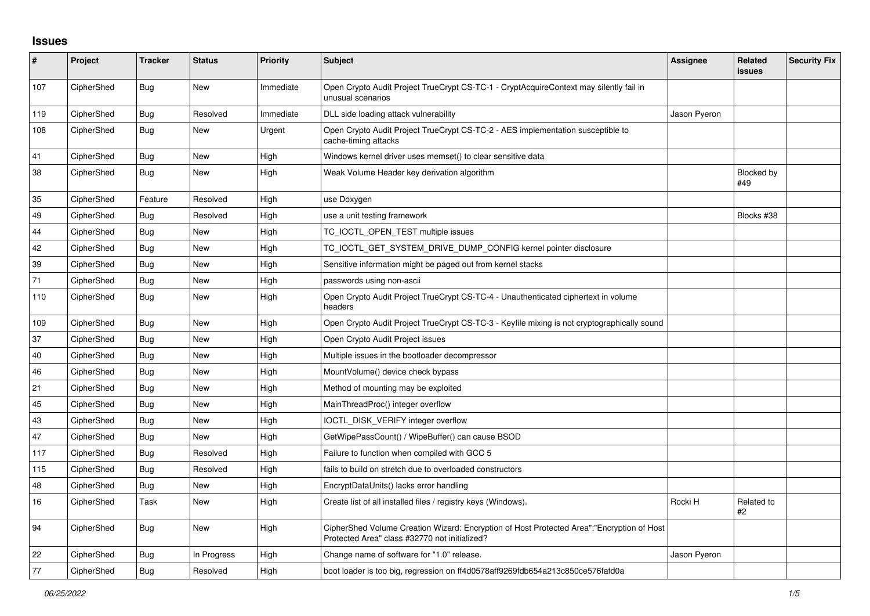## **Issues**

| #    | Project    | <b>Tracker</b> | <b>Status</b> | <b>Priority</b> | <b>Subject</b>                                                                                                                             | Assignee     | <b>Related</b><br>issues | <b>Security Fix</b> |
|------|------------|----------------|---------------|-----------------|--------------------------------------------------------------------------------------------------------------------------------------------|--------------|--------------------------|---------------------|
| 107  | CipherShed | <b>Bug</b>     | New           | Immediate       | Open Crypto Audit Project TrueCrypt CS-TC-1 - CryptAcquireContext may silently fail in<br>unusual scenarios                                |              |                          |                     |
| 119  | CipherShed | Bug            | Resolved      | Immediate       | DLL side loading attack vulnerability                                                                                                      | Jason Pyeron |                          |                     |
| 108  | CipherShed | Bug            | <b>New</b>    | Urgent          | Open Crypto Audit Project TrueCrypt CS-TC-2 - AES implementation susceptible to<br>cache-timing attacks                                    |              |                          |                     |
| 41   | CipherShed | <b>Bug</b>     | <b>New</b>    | High            | Windows kernel driver uses memset() to clear sensitive data                                                                                |              |                          |                     |
| 38   | CipherShed | Bug            | New           | High            | Weak Volume Header key derivation algorithm                                                                                                |              | Blocked by<br>#49        |                     |
| 35   | CipherShed | Feature        | Resolved      | High            | use Doxygen                                                                                                                                |              |                          |                     |
| 49   | CipherShed | Bug            | Resolved      | High            | use a unit testing framework                                                                                                               |              | Blocks #38               |                     |
| 44   | CipherShed | Bug            | New           | High            | TC IOCTL OPEN TEST multiple issues                                                                                                         |              |                          |                     |
| 42   | CipherShed | <b>Bug</b>     | <b>New</b>    | High            | TC_IOCTL_GET_SYSTEM_DRIVE_DUMP_CONFIG kernel pointer disclosure                                                                            |              |                          |                     |
| 39   | CipherShed | Bug            | New           | High            | Sensitive information might be paged out from kernel stacks                                                                                |              |                          |                     |
| $71$ | CipherShed | Bug            | <b>New</b>    | High            | passwords using non-ascii                                                                                                                  |              |                          |                     |
| 110  | CipherShed | Bug            | New           | High            | Open Crypto Audit Project TrueCrypt CS-TC-4 - Unauthenticated ciphertext in volume<br>headers                                              |              |                          |                     |
| 109  | CipherShed | <b>Bug</b>     | <b>New</b>    | High            | Open Crypto Audit Project TrueCrypt CS-TC-3 - Keyfile mixing is not cryptographically sound                                                |              |                          |                     |
| 37   | CipherShed | Bug            | New           | High            | Open Crypto Audit Project issues                                                                                                           |              |                          |                     |
| 40   | CipherShed | Bug            | <b>New</b>    | High            | Multiple issues in the bootloader decompressor                                                                                             |              |                          |                     |
| 46   | CipherShed | <b>Bug</b>     | <b>New</b>    | High            | MountVolume() device check bypass                                                                                                          |              |                          |                     |
| 21   | CipherShed | Bug            | New           | High            | Method of mounting may be exploited                                                                                                        |              |                          |                     |
| 45   | CipherShed | Bug            | <b>New</b>    | High            | MainThreadProc() integer overflow                                                                                                          |              |                          |                     |
| 43   | CipherShed | Bug            | New           | High            | IOCTL_DISK_VERIFY integer overflow                                                                                                         |              |                          |                     |
| 47   | CipherShed | Bug            | New           | High            | GetWipePassCount() / WipeBuffer() can cause BSOD                                                                                           |              |                          |                     |
| 117  | CipherShed | Bug            | Resolved      | High            | Failure to function when compiled with GCC 5                                                                                               |              |                          |                     |
| 115  | CipherShed | <b>Bug</b>     | Resolved      | High            | fails to build on stretch due to overloaded constructors                                                                                   |              |                          |                     |
| 48   | CipherShed | <b>Bug</b>     | <b>New</b>    | High            | EncryptDataUnits() lacks error handling                                                                                                    |              |                          |                     |
| 16   | CipherShed | Task           | New           | High            | Create list of all installed files / registry keys (Windows).                                                                              | Rocki H      | Related to<br>#2         |                     |
| 94   | CipherShed | Bug            | New           | High            | CipherShed Volume Creation Wizard: Encryption of Host Protected Area":"Encryption of Host<br>Protected Area" class #32770 not initialized? |              |                          |                     |
| 22   | CipherShed | <b>Bug</b>     | In Progress   | High            | Change name of software for "1.0" release.                                                                                                 | Jason Pyeron |                          |                     |
| 77   | CipherShed | Bug            | Resolved      | High            | boot loader is too big, regression on ff4d0578aff9269fdb654a213c850ce576fafd0a                                                             |              |                          |                     |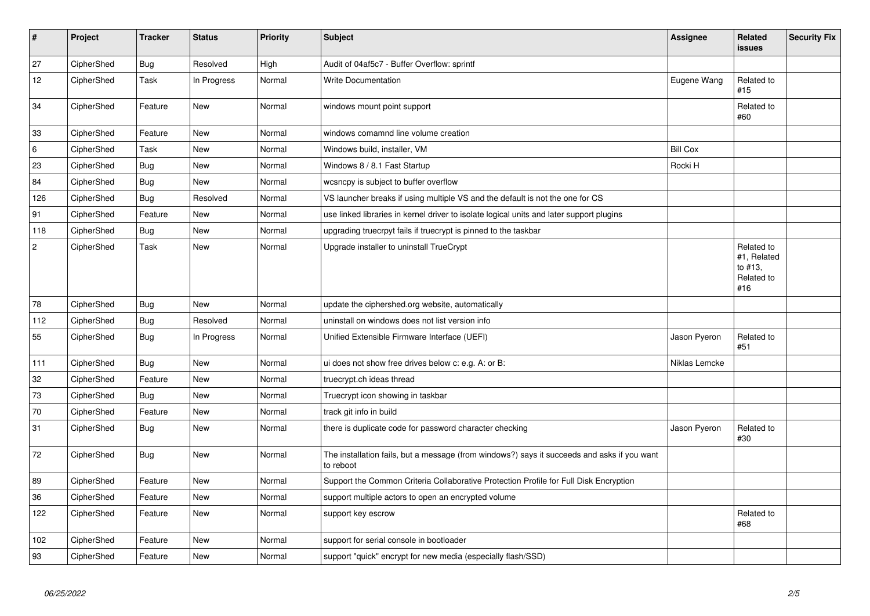| $\vert$ #  | Project    | <b>Tracker</b> | <b>Status</b> | <b>Priority</b> | <b>Subject</b>                                                                                           | Assignee        | Related<br><b>issues</b>                                  | <b>Security Fix</b> |
|------------|------------|----------------|---------------|-----------------|----------------------------------------------------------------------------------------------------------|-----------------|-----------------------------------------------------------|---------------------|
| 27         | CipherShed | <b>Bug</b>     | Resolved      | High            | Audit of 04af5c7 - Buffer Overflow: sprintf                                                              |                 |                                                           |                     |
| 12         | CipherShed | Task           | In Progress   | Normal          | <b>Write Documentation</b>                                                                               | Eugene Wang     | Related to<br>#15                                         |                     |
| 34         | CipherShed | Feature        | <b>New</b>    | Normal          | windows mount point support                                                                              |                 | Related to<br>#60                                         |                     |
| 33         | CipherShed | Feature        | <b>New</b>    | Normal          | windows comamnd line volume creation                                                                     |                 |                                                           |                     |
| 6          | CipherShed | Task           | <b>New</b>    | Normal          | Windows build, installer, VM                                                                             | <b>Bill Cox</b> |                                                           |                     |
| 23         | CipherShed | Bug            | <b>New</b>    | Normal          | Windows 8 / 8.1 Fast Startup                                                                             | Rocki H         |                                                           |                     |
| 84         | CipherShed | <b>Bug</b>     | <b>New</b>    | Normal          | wcsncpy is subject to buffer overflow                                                                    |                 |                                                           |                     |
| 126        | CipherShed | <b>Bug</b>     | Resolved      | Normal          | VS launcher breaks if using multiple VS and the default is not the one for CS                            |                 |                                                           |                     |
| 91         | CipherShed | Feature        | <b>New</b>    | Normal          | use linked libraries in kernel driver to isolate logical units and later support plugins                 |                 |                                                           |                     |
| 118        | CipherShed | <b>Bug</b>     | <b>New</b>    | Normal          | upgrading truecrpyt fails if truecrypt is pinned to the taskbar                                          |                 |                                                           |                     |
| $\sqrt{2}$ | CipherShed | Task           | <b>New</b>    | Normal          | Upgrade installer to uninstall TrueCrypt                                                                 |                 | Related to<br>#1, Related<br>to #13,<br>Related to<br>#16 |                     |
| 78         | CipherShed | <b>Bug</b>     | <b>New</b>    | Normal          | update the ciphershed.org website, automatically                                                         |                 |                                                           |                     |
| 112        | CipherShed | Bug            | Resolved      | Normal          | uninstall on windows does not list version info                                                          |                 |                                                           |                     |
| 55         | CipherShed | <b>Bug</b>     | In Progress   | Normal          | Unified Extensible Firmware Interface (UEFI)                                                             | Jason Pyeron    | Related to<br>#51                                         |                     |
| 111        | CipherShed | <b>Bug</b>     | <b>New</b>    | Normal          | ui does not show free drives below c: e.g. A: or B:                                                      | Niklas Lemcke   |                                                           |                     |
| 32         | CipherShed | Feature        | <b>New</b>    | Normal          | truecrypt.ch ideas thread                                                                                |                 |                                                           |                     |
| 73         | CipherShed | Bug            | New           | Normal          | Truecrypt icon showing in taskbar                                                                        |                 |                                                           |                     |
| 70         | CipherShed | Feature        | New           | Normal          | track git info in build                                                                                  |                 |                                                           |                     |
| 31         | CipherShed | Bug            | New           | Normal          | there is duplicate code for password character checking                                                  | Jason Pyeron    | Related to<br>#30                                         |                     |
| 72         | CipherShed | <b>Bug</b>     | New           | Normal          | The installation fails, but a message (from windows?) says it succeeds and asks if you want<br>to reboot |                 |                                                           |                     |
| 89         | CipherShed | Feature        | <b>New</b>    | Normal          | Support the Common Criteria Collaborative Protection Profile for Full Disk Encryption                    |                 |                                                           |                     |
| 36         | CipherShed | Feature        | <b>New</b>    | Normal          | support multiple actors to open an encrypted volume                                                      |                 |                                                           |                     |
| 122        | CipherShed | Feature        | New           | Normal          | support key escrow                                                                                       |                 | Related to<br>#68                                         |                     |
| 102        | CipherShed | Feature        | New           | Normal          | support for serial console in bootloader                                                                 |                 |                                                           |                     |
| 93         | CipherShed | Feature        | <b>New</b>    | Normal          | support "quick" encrypt for new media (especially flash/SSD)                                             |                 |                                                           |                     |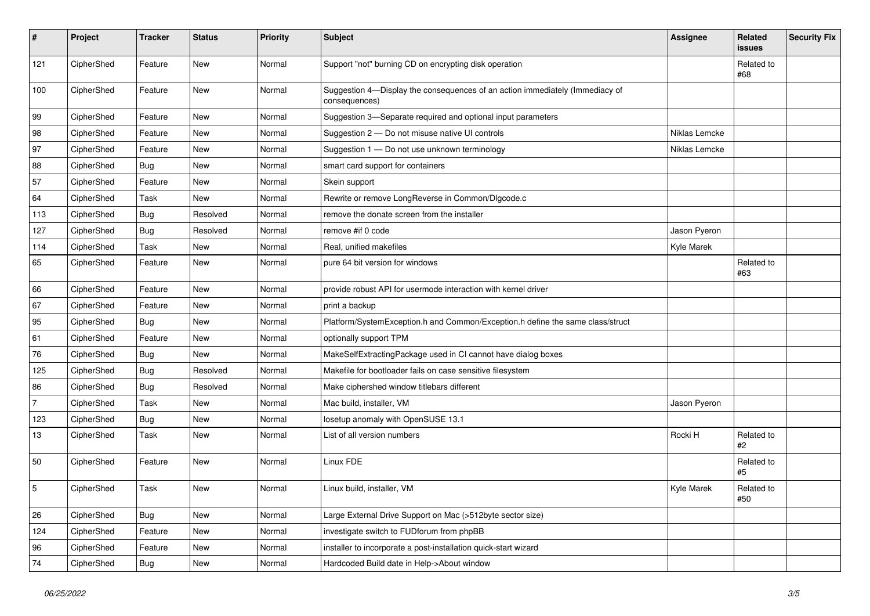| #              | Project    | <b>Tracker</b> | <b>Status</b> | <b>Priority</b> | <b>Subject</b>                                                                                | <b>Assignee</b> | Related<br>issues | <b>Security Fix</b> |
|----------------|------------|----------------|---------------|-----------------|-----------------------------------------------------------------------------------------------|-----------------|-------------------|---------------------|
| 121            | CipherShed | Feature        | New           | Normal          | Support "not" burning CD on encrypting disk operation                                         |                 | Related to<br>#68 |                     |
| 100            | CipherShed | Feature        | <b>New</b>    | Normal          | Suggestion 4-Display the consequences of an action immediately (Immediacy of<br>consequences) |                 |                   |                     |
| 99             | CipherShed | Feature        | New           | Normal          | Suggestion 3-Separate required and optional input parameters                                  |                 |                   |                     |
| 98             | CipherShed | Feature        | <b>New</b>    | Normal          | Suggestion 2 - Do not misuse native UI controls                                               | Niklas Lemcke   |                   |                     |
| 97             | CipherShed | Feature        | New           | Normal          | Suggestion 1 - Do not use unknown terminology                                                 | Niklas Lemcke   |                   |                     |
| 88             | CipherShed | <b>Bug</b>     | <b>New</b>    | Normal          | smart card support for containers                                                             |                 |                   |                     |
| 57             | CipherShed | Feature        | New           | Normal          | Skein support                                                                                 |                 |                   |                     |
| 64             | CipherShed | Task           | <b>New</b>    | Normal          | Rewrite or remove LongReverse in Common/Dlgcode.c                                             |                 |                   |                     |
| 113            | CipherShed | <b>Bug</b>     | Resolved      | Normal          | remove the donate screen from the installer                                                   |                 |                   |                     |
| 127            | CipherShed | <b>Bug</b>     | Resolved      | Normal          | remove #if 0 code                                                                             | Jason Pyeron    |                   |                     |
| 114            | CipherShed | Task           | New           | Normal          | Real, unified makefiles                                                                       | Kyle Marek      |                   |                     |
| 65             | CipherShed | Feature        | <b>New</b>    | Normal          | pure 64 bit version for windows                                                               |                 | Related to<br>#63 |                     |
| 66             | CipherShed | Feature        | <b>New</b>    | Normal          | provide robust API for usermode interaction with kernel driver                                |                 |                   |                     |
| 67             | CipherShed | Feature        | <b>New</b>    | Normal          | print a backup                                                                                |                 |                   |                     |
| 95             | CipherShed | <b>Bug</b>     | New           | Normal          | Platform/SystemException.h and Common/Exception.h define the same class/struct                |                 |                   |                     |
| 61             | CipherShed | Feature        | New           | Normal          | optionally support TPM                                                                        |                 |                   |                     |
| 76             | CipherShed | Bug            | New           | Normal          | MakeSelfExtractingPackage used in CI cannot have dialog boxes                                 |                 |                   |                     |
| 125            | CipherShed | Bug            | Resolved      | Normal          | Makefile for bootloader fails on case sensitive filesystem                                    |                 |                   |                     |
| 86             | CipherShed | <b>Bug</b>     | Resolved      | Normal          | Make ciphershed window titlebars different                                                    |                 |                   |                     |
| $\overline{7}$ | CipherShed | Task           | New           | Normal          | Mac build, installer, VM                                                                      | Jason Pyeron    |                   |                     |
| 123            | CipherShed | <b>Bug</b>     | <b>New</b>    | Normal          | losetup anomaly with OpenSUSE 13.1                                                            |                 |                   |                     |
| 13             | CipherShed | Task           | <b>New</b>    | Normal          | List of all version numbers                                                                   | Rocki H         | Related to<br>#2  |                     |
| 50             | CipherShed | Feature        | New           | Normal          | Linux FDE                                                                                     |                 | Related to<br>#5  |                     |
| 5              | CipherShed | Task           | <b>New</b>    | Normal          | Linux build, installer, VM                                                                    | Kyle Marek      | Related to<br>#50 |                     |
| 26             | CipherShed | <b>Bug</b>     | New           | Normal          | Large External Drive Support on Mac (>512byte sector size)                                    |                 |                   |                     |
| 124            | CipherShed | Feature        | New           | Normal          | investigate switch to FUDforum from phpBB                                                     |                 |                   |                     |
| 96             | CipherShed | Feature        | New           | Normal          | installer to incorporate a post-installation quick-start wizard                               |                 |                   |                     |
| 74             | CipherShed | Bug            | New           | Normal          | Hardcoded Build date in Help->About window                                                    |                 |                   |                     |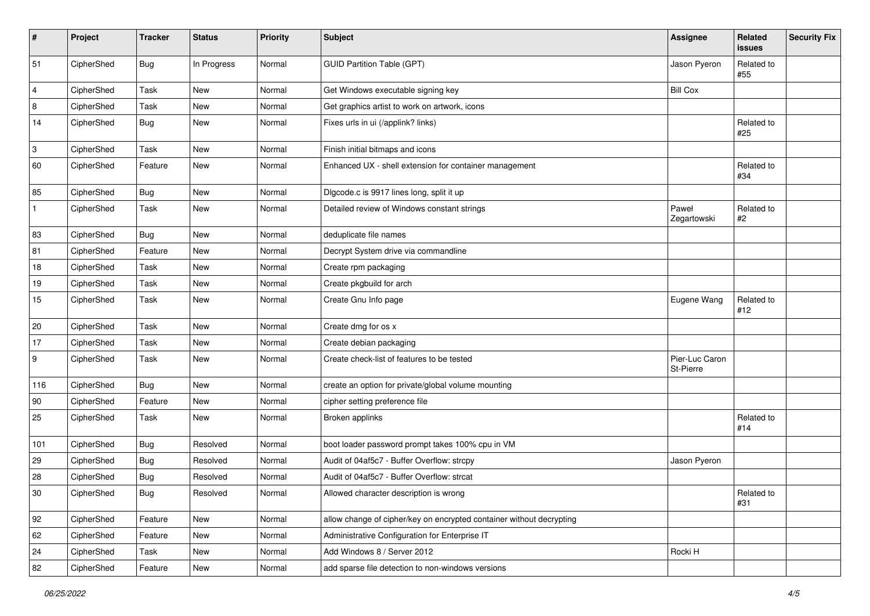| #              | Project    | <b>Tracker</b> | <b>Status</b> | <b>Priority</b> | <b>Subject</b>                                                       | <b>Assignee</b>             | Related<br>issues | <b>Security Fix</b> |
|----------------|------------|----------------|---------------|-----------------|----------------------------------------------------------------------|-----------------------------|-------------------|---------------------|
| 51             | CipherShed | <b>Bug</b>     | In Progress   | Normal          | <b>GUID Partition Table (GPT)</b>                                    | Jason Pyeron                | Related to<br>#55 |                     |
| $\overline{4}$ | CipherShed | Task           | New           | Normal          | Get Windows executable signing key                                   | <b>Bill Cox</b>             |                   |                     |
| 8              | CipherShed | Task           | New           | Normal          | Get graphics artist to work on artwork, icons                        |                             |                   |                     |
| 14             | CipherShed | Bug            | New           | Normal          | Fixes urls in ui (/applink? links)                                   |                             | Related to<br>#25 |                     |
| 3              | CipherShed | Task           | New           | Normal          | Finish initial bitmaps and icons                                     |                             |                   |                     |
| 60             | CipherShed | Feature        | New           | Normal          | Enhanced UX - shell extension for container management               |                             | Related to<br>#34 |                     |
| 85             | CipherShed | <b>Bug</b>     | New           | Normal          | Digcode.c is 9917 lines long, split it up                            |                             |                   |                     |
| $\mathbf{1}$   | CipherShed | Task           | New           | Normal          | Detailed review of Windows constant strings                          | Paweł<br>Zegartowski        | Related to<br>#2  |                     |
| 83             | CipherShed | Bug            | New           | Normal          | deduplicate file names                                               |                             |                   |                     |
| 81             | CipherShed | Feature        | <b>New</b>    | Normal          | Decrypt System drive via commandline                                 |                             |                   |                     |
| 18             | CipherShed | Task           | New           | Normal          | Create rpm packaging                                                 |                             |                   |                     |
| 19             | CipherShed | Task           | New           | Normal          | Create pkgbuild for arch                                             |                             |                   |                     |
| 15             | CipherShed | Task           | New           | Normal          | Create Gnu Info page                                                 | Eugene Wang                 | Related to<br>#12 |                     |
| 20             | CipherShed | Task           | New           | Normal          | Create dmg for os x                                                  |                             |                   |                     |
| 17             | CipherShed | Task           | <b>New</b>    | Normal          | Create debian packaging                                              |                             |                   |                     |
| 9              | CipherShed | Task           | New           | Normal          | Create check-list of features to be tested                           | Pier-Luc Caron<br>St-Pierre |                   |                     |
| 116            | CipherShed | <b>Bug</b>     | New           | Normal          | create an option for private/global volume mounting                  |                             |                   |                     |
| 90             | CipherShed | Feature        | New           | Normal          | cipher setting preference file                                       |                             |                   |                     |
| 25             | CipherShed | Task           | New           | Normal          | Broken applinks                                                      |                             | Related to<br>#14 |                     |
| 101            | CipherShed | Bug            | Resolved      | Normal          | boot loader password prompt takes 100% cpu in VM                     |                             |                   |                     |
| 29             | CipherShed | <b>Bug</b>     | Resolved      | Normal          | Audit of 04af5c7 - Buffer Overflow: strcpy                           | Jason Pyeron                |                   |                     |
| 28             | CipherShed | <b>Bug</b>     | Resolved      | Normal          | Audit of 04af5c7 - Buffer Overflow: strcat                           |                             |                   |                     |
| 30             | CipherShed | Bug            | Resolved      | Normal          | Allowed character description is wrong                               |                             | Related to<br>#31 |                     |
| 92             | CipherShed | Feature        | New           | Normal          | allow change of cipher/key on encrypted container without decrypting |                             |                   |                     |
| 62             | CipherShed | Feature        | New           | Normal          | Administrative Configuration for Enterprise IT                       |                             |                   |                     |
| 24             | CipherShed | Task           | New           | Normal          | Add Windows 8 / Server 2012                                          | Rocki H                     |                   |                     |
| 82             | CipherShed | Feature        | New           | Normal          | add sparse file detection to non-windows versions                    |                             |                   |                     |